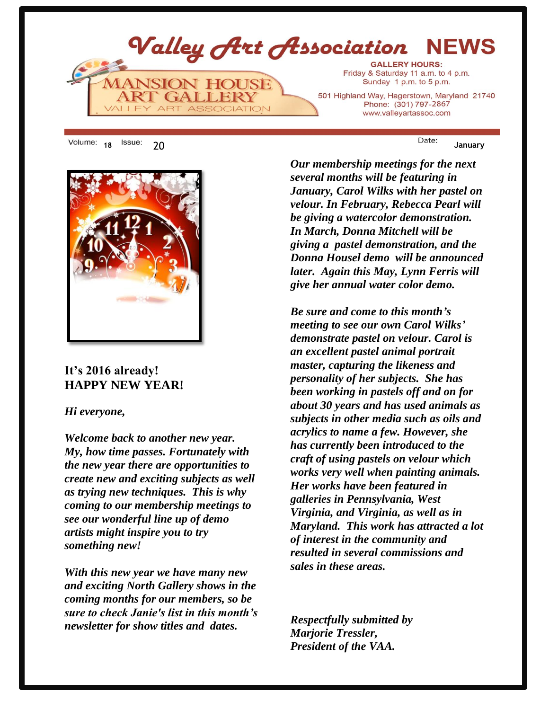

18 <sup>ISSUE:</sup> 20 January



## **It's 2016 already! HAPPY NEW YEAR!**

### *Hi everyone,*

*Welcome back to another new year. My, how time passes. Fortunately with the new year there are opportunities to create new and exciting subjects as well as trying new techniques. This is why coming to our membership meetings to see our wonderful line up of demo artists might inspire you to try something new!*

*With this new year we have many new and exciting North Gallery shows in the coming months for our members, so be sure to check Janie's list in this month's newsletter for show titles and dates.* 

*Our membership meetings for the next several months will be featuring in January, Carol Wilks with her pastel on velour. In February, Rebecca Pearl will be giving a watercolor demonstration. In March, Donna Mitchell will be giving a pastel demonstration, and the Donna Housel demo will be announced later. Again this May, Lynn Ferris will give her annual water color demo.* 

*Be sure and come to this month's meeting to see our own Carol Wilks' demonstrate pastel on velour. Carol is an excellent pastel animal portrait master, capturing the likeness and personality of her subjects. She has been working in pastels off and on for about 30 years and has used animals as subjects in other media such as oils and acrylics to name a few. However, she has currently been introduced to the craft of using pastels on velour which works very well when painting animals. Her works have been featured in galleries in Pennsylvania, West Virginia, and Virginia, as well as in Maryland. This work has attracted a lot of interest in the community and resulted in several commissions and sales in these areas.*

*Respectfully submitted by Marjorie Tressler, President of the VAA.*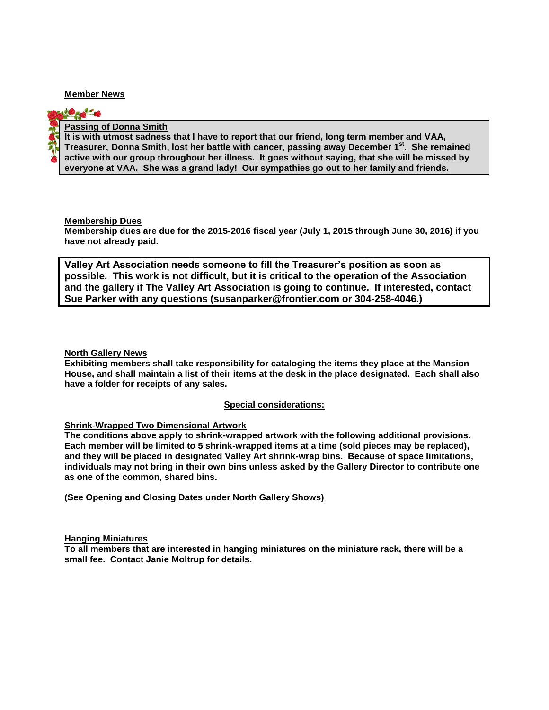#### **Member News**

**PEG** 



#### **Passing of Donna Smith**

**It is with utmost sadness that I have to report that our friend, long term member and VAA, Treasurer, Donna Smith, lost her battle with cancer, passing away December 1st. She remained active with our group throughout her illness. It goes without saying, that she will be missed by everyone at VAA. She was a grand lady! Our sympathies go out to her family and friends.** 

**Membership Dues**

**Membership dues are due for the 2015-2016 fiscal year (July 1, 2015 through June 30, 2016) if you have not already paid.**

**Valley Art Association needs someone to fill the Treasurer's position as soon as possible. This work is not difficult, but it is critical to the operation of the Association and the gallery if The Valley Art Association is going to continue. If interested, contact Sue Parker with any questions (susanparker@frontier.com or 304-258-4046.)**

**North Gallery News** 

**Exhibiting members shall take responsibility for cataloging the items they place at the Mansion House, and shall maintain a list of their items at the desk in the place designated. Each shall also have a folder for receipts of any sales.** 

#### **Special considerations:**

#### **Shrink-Wrapped Two Dimensional Artwork**

**The conditions above apply to shrink-wrapped artwork with the following additional provisions. Each member will be limited to 5 shrink-wrapped items at a time (sold pieces may be replaced), and they will be placed in designated Valley Art shrink-wrap bins. Because of space limitations, individuals may not bring in their own bins unless asked by the Gallery Director to contribute one as one of the common, shared bins.**

**(See Opening and Closing Dates under North Gallery Shows)**

#### **Hanging Miniatures**

**To all members that are interested in hanging miniatures on the miniature rack, there will be a small fee. Contact Janie Moltrup for details.**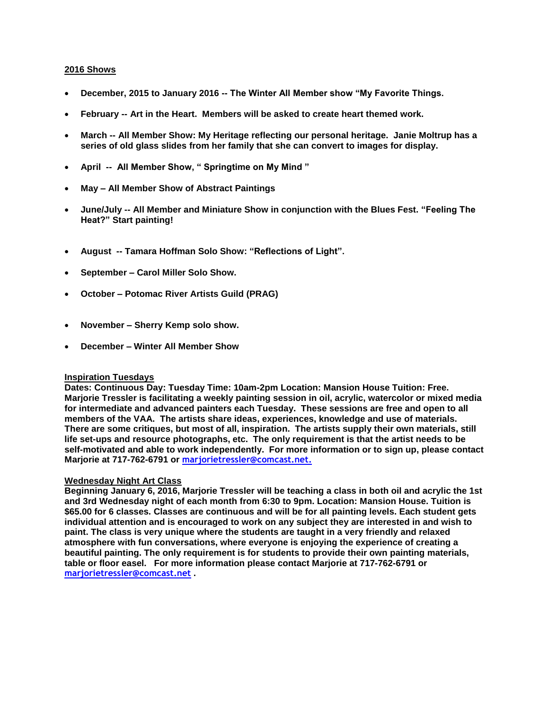#### **2016 Shows**

- **December, 2015 to January 2016 -- The Winter All Member show "My Favorite Things.**
- **February -- Art in the Heart. Members will be asked to create heart themed work.**
- **March -- All Member Show: My Heritage reflecting our personal heritage. Janie Moltrup has a series of old glass slides from her family that she can convert to images for display.**
- **April -- All Member Show, " Springtime on My Mind "**
- **May – All Member Show of Abstract Paintings**
- **June/July -- All Member and Miniature Show in conjunction with the Blues Fest. "Feeling The Heat?" Start painting!**
- **August -- Tamara Hoffman Solo Show: "Reflections of Light".**
- **September – Carol Miller Solo Show.**
- **October – Potomac River Artists Guild (PRAG)**
- **November – Sherry Kemp solo show.**
- **December – Winter All Member Show**

#### **Inspiration Tuesdays**

**Dates: Continuous Day: Tuesday Time: 10am-2pm Location: Mansion House Tuition: Free. Marjorie Tressler is facilitating a weekly painting session in oil, acrylic, watercolor or mixed media for intermediate and advanced painters each Tuesday. These sessions are free and open to all members of the VAA. The artists share ideas, experiences, knowledge and use of materials. There are some critiques, but most of all, inspiration. The artists supply their own materials, still life set-ups and resource photographs, etc. The only requirement is that the artist needs to be self-motivated and able to work independently. For more information or to sign up, please contact Marjorie at 717-762-6791 or marjorietressler@comcast.net.**

#### **Wednesday Night Art Class**

**Beginning January 6, 2016, Marjorie Tressler will be teaching a class in both oil and acrylic the 1st and 3rd Wednesday night of each month from 6:30 to 9pm. Location: Mansion House. Tuition is \$65.00 for 6 classes. Classes are continuous and will be for all painting levels. Each student gets individual attention and is encouraged to work on any subject they are interested in and wish to paint. The class is very unique where the students are taught in a very friendly and relaxed atmosphere with fun conversations, where everyone is enjoying the experience of creating a beautiful painting. The only requirement is for students to provide their own painting materials, table or floor easel. For more information please contact Marjorie at 717-762-6791 or marjorietressler@comcast.net .**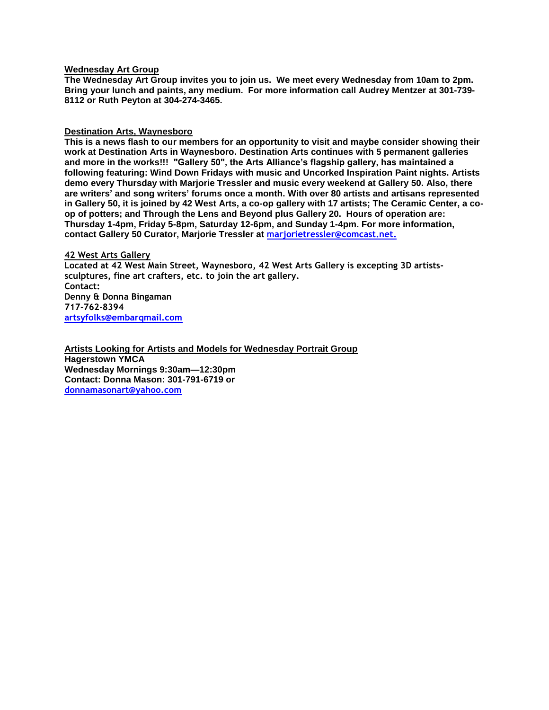#### **Wednesday Art Group**

**The Wednesday Art Group invites you to join us. We meet every Wednesday from 10am to 2pm. Bring your lunch and paints, any medium. For more information call Audrey Mentzer at 301-739- 8112 or Ruth Peyton at 304-274-3465.**

#### **Destination Arts, Waynesboro**

**This is a news flash to our members for an opportunity to visit and maybe consider showing their work at Destination Arts in Waynesboro. Destination Arts continues with 5 permanent galleries and more in the works!!! "Gallery 50", the Arts Alliance's flagship gallery, has maintained a following featuring: Wind Down Fridays with music and Uncorked Inspiration Paint nights. Artists demo every Thursday with Marjorie Tressler and music every weekend at Gallery 50. Also, there are writers' and song writers' forums once a month. With over 80 artists and artisans represented in Gallery 50, it is joined by 42 West Arts, a co-op gallery with 17 artists; The Ceramic Center, a coop of potters; and Through the Lens and Beyond plus Gallery 20. Hours of operation are: Thursday 1-4pm, Friday 5-8pm, Saturday 12-6pm, and Sunday 1-4pm. For more information, contact Gallery 50 Curator, Marjorie Tressler at [marjorietressler@comcast.net.](mailto:marjorietressler@comcast.net)**

#### **42 West Arts Gallery**

**Located at 42 West Main Street, Waynesboro, 42 West Arts Gallery is excepting 3D artistssculptures, fine art crafters, etc. to join the art gallery. Contact: Denny & Donna Bingaman 717-762-8394 artsyfolks@embarqmail.com**

**Artists Looking for Artists and Models for Wednesday Portrait Group Hagerstown YMCA Wednesday Mornings 9:30am—12:30pm Contact: Donna Mason: 301-791-6719 or donnamasonart@yahoo.com**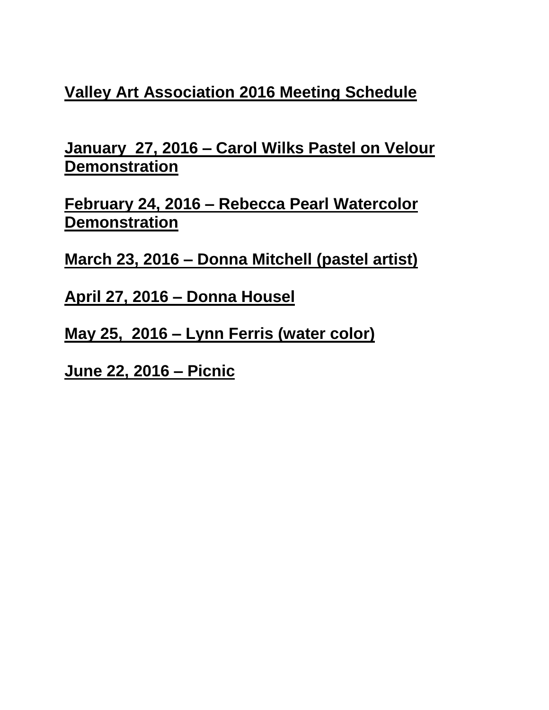# **Valley Art Association 2016 Meeting Schedule**

**January 27, 2016 – Carol Wilks Pastel on Velour Demonstration**

**February 24, 2016 – Rebecca Pearl Watercolor Demonstration**

**March 23, 2016 – Donna Mitchell (pastel artist)**

**April 27, 2016 – Donna Housel** 

**May 25, 2016 – Lynn Ferris (water color)** 

**June 22, 2016 – Picnic**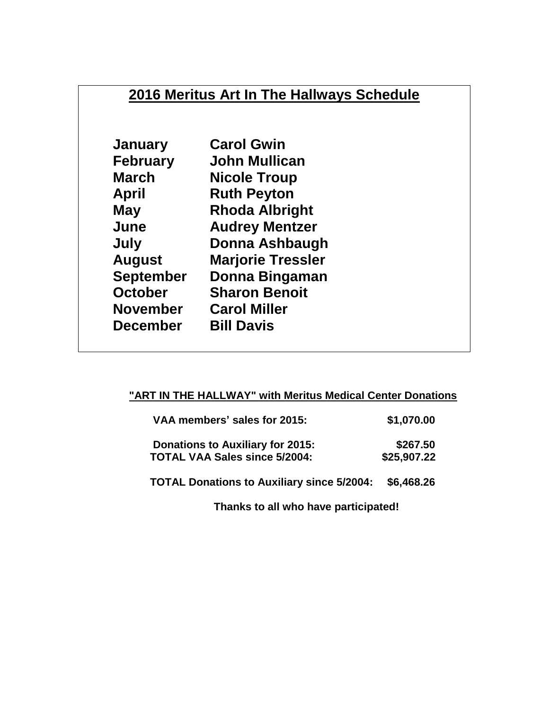# **2016 Meritus Art In The Hallways Schedule**

| <b>January</b>   | <b>Carol Gwin</b>        |
|------------------|--------------------------|
| <b>February</b>  | John Mullican            |
| <b>March</b>     | <b>Nicole Troup</b>      |
| <b>April</b>     | <b>Ruth Peyton</b>       |
| <b>May</b>       | <b>Rhoda Albright</b>    |
| June             | <b>Audrey Mentzer</b>    |
| July             | <b>Donna Ashbaugh</b>    |
| <b>August</b>    | <b>Marjorie Tressler</b> |
| <b>September</b> | Donna Bingaman           |
| <b>October</b>   | <b>Sharon Benoit</b>     |
| <b>November</b>  | <b>Carol Miller</b>      |
| <b>December</b>  | <b>Bill Davis</b>        |
|                  |                          |

## **"ART IN THE HALLWAY" with Meritus Medical Center Donations**

| VAA members' sales for 2015:                                                    | \$1,070.00              |
|---------------------------------------------------------------------------------|-------------------------|
| <b>Donations to Auxiliary for 2015:</b><br><b>TOTAL VAA Sales since 5/2004:</b> | \$267.50<br>\$25,907.22 |
| <b>TOTAL Donations to Auxiliary since 5/2004:</b>                               | \$6,468.26              |

**Thanks to all who have participated!**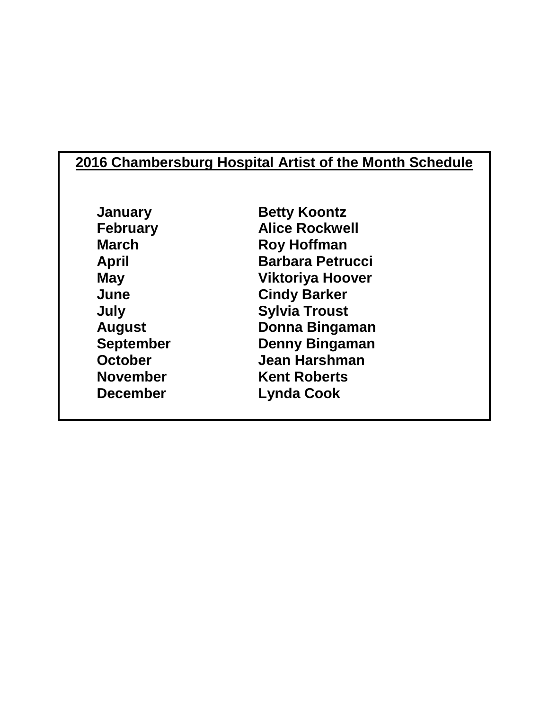# **2016 Chambersburg Hospital Artist of the Month Schedule**

**January Betty Koontz February Alice Rockwell March Roy Hoffman April Barbara Petrucci May Viktoriya Hoover June Cindy Barker July Sylvia Troust August Donna Bingaman September Denny Bingaman October Jean Harshman November Kent Roberts December Lynda Cook**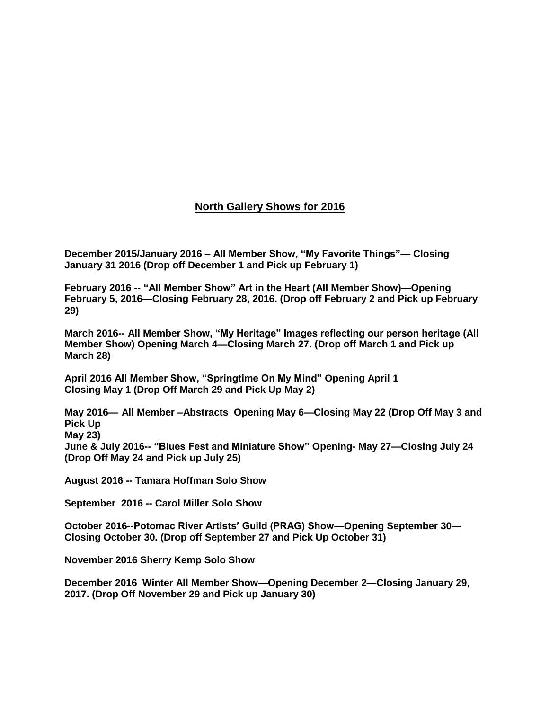### **North Gallery Shows for 2016**

**December 2015/January 2016 – All Member Show, "My Favorite Things"— Closing January 31 2016 (Drop off December 1 and Pick up February 1)**

**February 2016 -- "All Member Show" Art in the Heart (All Member Show)—Opening February 5, 2016—Closing February 28, 2016. (Drop off February 2 and Pick up February 29)**

**March 2016-- All Member Show, "My Heritage" Images reflecting our person heritage (All Member Show) Opening March 4—Closing March 27. (Drop off March 1 and Pick up March 28)**

**April 2016 All Member Show, "Springtime On My Mind" Opening April 1 Closing May 1 (Drop Off March 29 and Pick Up May 2)**

**May 2016— All Member –Abstracts Opening May 6—Closing May 22 (Drop Off May 3 and Pick Up May 23)**

**June & July 2016-- "Blues Fest and Miniature Show" Opening- May 27—Closing July 24 (Drop Off May 24 and Pick up July 25)**

**August 2016 -- Tamara Hoffman Solo Show**

**September 2016 -- Carol Miller Solo Show**

**October 2016--Potomac River Artists' Guild (PRAG) Show—Opening September 30— Closing October 30. (Drop off September 27 and Pick Up October 31)**

**November 2016 Sherry Kemp Solo Show**

**December 2016 Winter All Member Show—Opening December 2—Closing January 29, 2017. (Drop Off November 29 and Pick up January 30)**